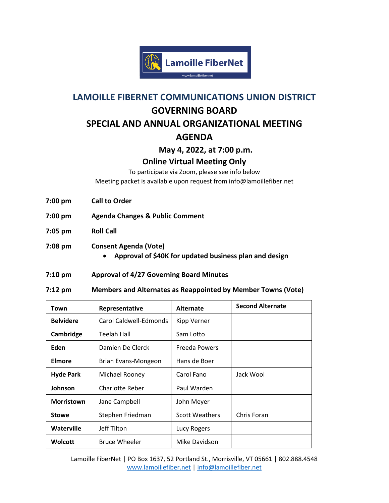

# **LAMOILLE FIBERNET COMMUNICATIONS UNION DISTRICT GOVERNING BOARD SPECIAL AND ANNUAL ORGANIZATIONAL MEETING AGENDA**

**May 4, 2022, at 7:00 p.m.**

### **Online Virtual Meeting Only**

To participate via Zoom, please see info below Meeting packet is available upon request from info@lamoillefiber.net

- **7:00 pm Call to Order**
- **7:00 pm Agenda Changes & Public Comment**
- **7:05 pm Roll Call**
- **7:08 pm Consent Agenda (Vote)** 
	- **Approval of \$40K for updated business plan and design**

#### **7:10 pm Approval of 4/27 Governing Board Minutes**

**7:12 pm Members and Alternates as Reappointed by Member Towns (Vote)**

| Town              | Representative         | <b>Alternate</b>      | <b>Second Alternate</b> |
|-------------------|------------------------|-----------------------|-------------------------|
| <b>Belvidere</b>  | Carol Caldwell-Edmonds | <b>Kipp Verner</b>    |                         |
| Cambridge         | <b>Teelah Hall</b>     | Sam Lotto             |                         |
| Eden              | Damien De Clerck       | Freeda Powers         |                         |
| Elmore            | Brian Evans-Mongeon    | Hans de Boer          |                         |
| <b>Hyde Park</b>  | Michael Rooney         | Carol Fano            | Jack Wool               |
| Johnson           | Charlotte Reber        | Paul Warden           |                         |
| <b>Morristown</b> | Jane Campbell          | John Meyer            |                         |
| <b>Stowe</b>      | Stephen Friedman       | <b>Scott Weathers</b> | Chris Foran             |
| Waterville        | Jeff Tilton            | Lucy Rogers           |                         |
| Wolcott           | <b>Bruce Wheeler</b>   | Mike Davidson         |                         |

Lamoille FiberNet | PO Box 1637, 52 Portland St., Morrisville, VT 05661 | 802.888.4548 [www.lamoillefiber.net](http://www.lamoillefiber.net/) | info@lamoillefiber.net